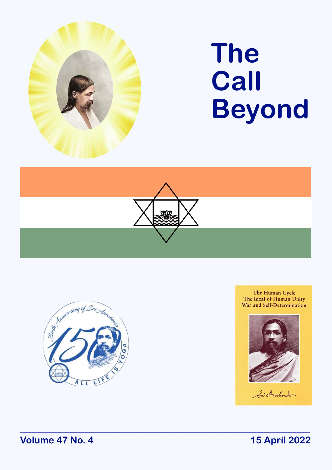

# **The** Call **Beyond**





The Human Cycle The Ideal of Human Unity War and Self-Determination



Sri Ausolindo

Volume 47 No. 4

**15 April 2022**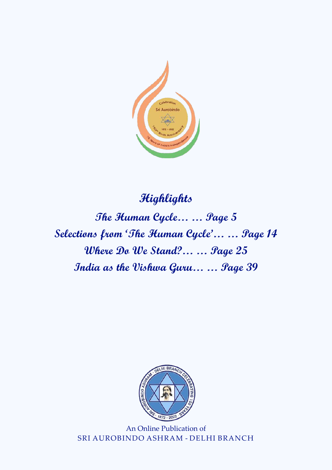

**Highlights The Human Cycle… … Page 5 Selections from 'The Human Cycle'… … Page 14 Where Do We Stand?… … Page 25 India as the Vishwa Guru… … Page 39**



An Online Publication of SRI AUROBINDO ASHRAM - DELHI BRANCH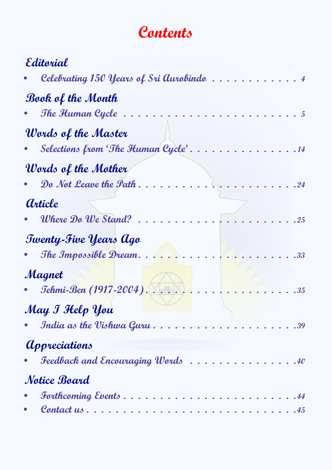## Contents

|           | Editorial                                         |
|-----------|---------------------------------------------------|
|           | Celebrating 150 Years of Sri Aurobindo            |
|           | <b>Book of the Month</b>                          |
|           | <b>The Human Cycle</b>                            |
|           | Words of the Master                               |
|           | Selections from 'The Human Cycle'<br>.14          |
|           | Words of the Mother                               |
|           | Do Not Leave the Path.<br>24                      |
|           | <i><u><b>Article</b></u></i>                      |
|           | Where Do We Stand?<br>25                          |
|           | Twenty-Five Years ago                             |
|           | The Impossible Dream.<br>.33                      |
|           | Magnet                                            |
|           | <b><i><u>Jehmi-Ben (1917-2004).</u></i></b><br>35 |
|           | May I Help You                                    |
|           | • India as the Vishwa Guru39                      |
|           | <i><u><b>Appreciations</b></u></i>                |
| $\bullet$ | Feedback and Encouraging Words40                  |
|           | Notice Board                                      |
| $\bullet$ | Forthcoming Events44                              |
| $\bullet$ |                                                   |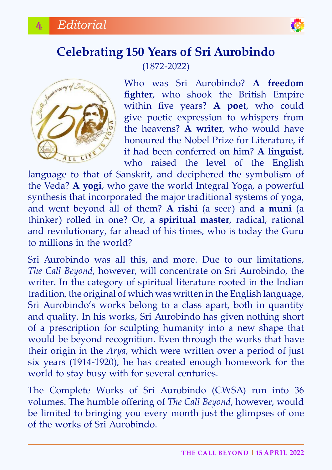

### **Celebrating 150 Years of Sri Aurobindo** (1872-2022)



Who was Sri Aurobindo? **a freedom fighter**, who shook the British Empire within five years? **a poet**, who could give poetic expression to whispers from the heavens? **a writer**, who would have honoured the Nobel Prize for Literature, if it had been conferred on him? **a linguist**, who raised the level of the English

language to that of Sanskrit, and deciphered the symbolism of the Veda? **a yogi**, who gave the world Integral Yoga, a powerful synthesis that incorporated the major traditional systems of yoga, and went beyond all of them? **A rishi** (a seer) and **a muni** (a thinker) rolled in one? Or, **a spiritual master**, radical, rational and revolutionary, far ahead of his times, who is today the Guru to millions in the world?

Sri Aurobindo was all this, and more. Due to our limitations, *The Call Beyond*, however, will concentrate on Sri Aurobindo, the writer. In the category of spiritual literature rooted in the Indian tradition, the original of which was written in the English language, Sri Aurobindo's works belong to a class apart, both in quantity and quality. In his works, Sri Aurobindo has given nothing short of a prescription for sculpting humanity into a new shape that would be beyond recognition. Even through the works that have their origin in the *Arya*, which were written over a period of just six years (1914-1920), he has created enough homework for the world to stay busy with for several centuries.

The Complete Works of Sri Aurobindo (CWSA) run into 36 volumes. The humble offering of *The Call Beyond*, however, would be limited to bringing you every month just the glimpses of one of the works of Sri Aurobindo.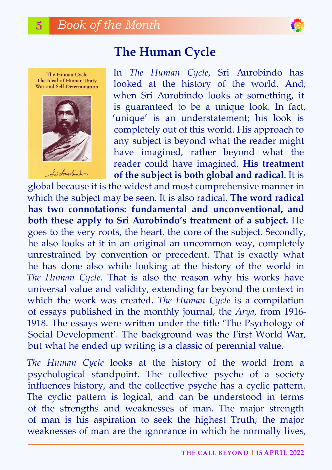

The Human Cycle The Ideal of Human Unity War and Self-Determination



**The Human Cycle**

In *The Human Cycle*, Sri Aurobindo has looked at the history of the world. And, when Sri Aurobindo looks at something, it is guaranteed to be a unique look. In fact, 'unique' is an understatement; his look is completely out of this world. His approach to any subject is beyond what the reader might have imagined, rather beyond what the reader could have imagined. **his treatment of the subject is both global and radical**. It is

global because it is the widest and most comprehensive manner in which the subject may be seen. It is also radical. **The word radical has two connotations: fundamental and unconventional, and both these apply to Sri Aurobindo's treatment of a subject.** He goes to the very roots, the heart, the core of the subject. Secondly, he also looks at it in an original an uncommon way, completely unrestrained by convention or precedent. That is exactly what he has done also while looking at the history of the world in *The Human Cycle*. That is also the reason why his works have universal value and validity, extending far beyond the context in which the work was created. *The Human Cycle* is a compilation of essays published in the monthly journal, the *Arya*, from 1916- 1918. The essays were written under the title 'The Psychology of Social Development'. The background was the First World War, but what he ended up writing is a classic of perennial value.

*The Human Cycle* looks at the history of the world from a psychological standpoint. The collective psyche of a society influences history, and the collective psyche has a cyclic pattern. The cyclic pattern is logical, and can be understood in terms of the strengths and weaknesses of man. The major strength of man is his aspiration to seek the highest Truth; the major weaknesses of man are the ignorance in which he normally lives,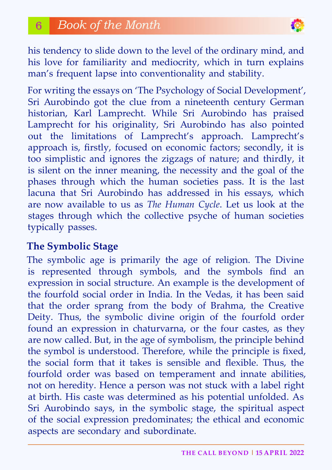

his tendency to slide down to the level of the ordinary mind, and his love for familiarity and mediocrity, which in turn explains man's frequent lapse into conventionality and stability.

For writing the essays on 'The Psychology of Social Development', Sri Aurobindo got the clue from a nineteenth century German historian, Karl Lamprecht. While Sri Aurobindo has praised Lamprecht for his originality, Sri Aurobindo has also pointed out the limitations of Lamprecht's approach. Lamprecht's approach is, firstly, focused on economic factors; secondly, it is too simplistic and ignores the zigzags of nature; and thirdly, it is silent on the inner meaning, the necessity and the goal of the phases through which the human societies pass. It is the last lacuna that Sri Aurobindo has addressed in his essays, which are now available to us as *The Human Cycle*. Let us look at the stages through which the collective psyche of human societies typically passes.

#### **The Symbolic Stage**

The symbolic age is primarily the age of religion. The Divine is represented through symbols, and the symbols find an expression in social structure. An example is the development of the fourfold social order in India. In the Vedas, it has been said that the order sprang from the body of Brahma, the Creative Deity. Thus, the symbolic divine origin of the fourfold order found an expression in chaturvarna, or the four castes, as they are now called. But, in the age of symbolism, the principle behind the symbol is understood. Therefore, while the principle is fixed, the social form that it takes is sensible and flexible. Thus, the fourfold order was based on temperament and innate abilities, not on heredity. Hence a person was not stuck with a label right at birth. His caste was determined as his potential unfolded. As Sri Aurobindo says, in the symbolic stage, the spiritual aspect of the social expression predominates; the ethical and economic aspects are secondary and subordinate.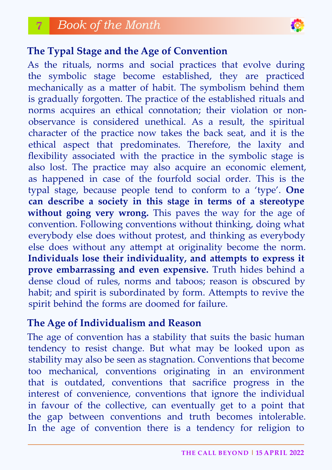

#### **The Typal Stage and the Age of Convention**

As the rituals, norms and social practices that evolve during the symbolic stage become established, they are practiced mechanically as a matter of habit. The symbolism behind them is gradually forgotten. The practice of the established rituals and norms acquires an ethical connotation; their violation or nonobservance is considered unethical. As a result, the spiritual character of the practice now takes the back seat, and it is the ethical aspect that predominates. Therefore, the laxity and flexibility associated with the practice in the symbolic stage is also lost. The practice may also acquire an economic element, as happened in case of the fourfold social order. This is the typal stage, because people tend to conform to a 'type'. **one can describe a society in this stage in terms of a stereotype without going very wrong.** This paves the way for the age of convention. Following conventions without thinking, doing what everybody else does without protest, and thinking as everybody else does without any attempt at originality become the norm. **Individuals lose their individuality, and attempts to express it prove embarrassing and even expensive.** Truth hides behind a dense cloud of rules, norms and taboos; reason is obscured by habit; and spirit is subordinated by form. Attempts to revive the spirit behind the forms are doomed for failure.

#### **The Age of Individualism and Reason**

The age of convention has a stability that suits the basic human tendency to resist change. But what may be looked upon as stability may also be seen as stagnation. Conventions that become too mechanical, conventions originating in an environment that is outdated, conventions that sacrifice progress in the interest of convenience, conventions that ignore the individual in favour of the collective, can eventually get to a point that the gap between conventions and truth becomes intolerable. In the age of convention there is a tendency for religion to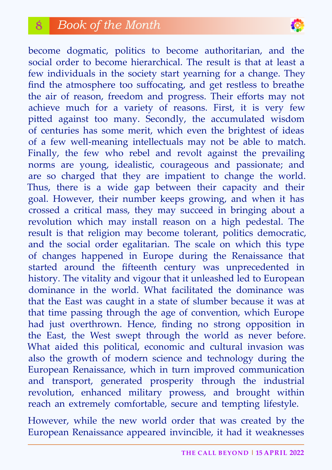

become dogmatic, politics to become authoritarian, and the social order to become hierarchical. The result is that at least a few individuals in the society start yearning for a change. They find the atmosphere too suffocating, and get restless to breathe the air of reason, freedom and progress. Their efforts may not achieve much for a variety of reasons. First, it is very few pitted against too many. Secondly, the accumulated wisdom of centuries has some merit, which even the brightest of ideas of a few well-meaning intellectuals may not be able to match. Finally, the few who rebel and revolt against the prevailing norms are young, idealistic, courageous and passionate; and are so charged that they are impatient to change the world. Thus, there is a wide gap between their capacity and their goal. However, their number keeps growing, and when it has crossed a critical mass, they may succeed in bringing about a revolution which may install reason on a high pedestal. The result is that religion may become tolerant, politics democratic, and the social order egalitarian. The scale on which this type of changes happened in Europe during the Renaissance that started around the fifteenth century was unprecedented in history. The vitality and vigour that it unleashed led to European dominance in the world. What facilitated the dominance was that the East was caught in a state of slumber because it was at that time passing through the age of convention, which Europe had just overthrown. Hence, finding no strong opposition in the East, the West swept through the world as never before. What aided this political, economic and cultural invasion was also the growth of modern science and technology during the European Renaissance, which in turn improved communication and transport, generated prosperity through the industrial revolution, enhanced military prowess, and brought within reach an extremely comfortable, secure and tempting lifestyle.

However, while the new world order that was created by the European Renaissance appeared invincible, it had it weaknesses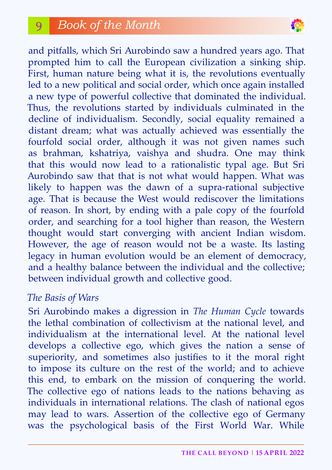

and pitfalls, which Sri Aurobindo saw a hundred years ago. That prompted him to call the European civilization a sinking ship. First, human nature being what it is, the revolutions eventually led to a new political and social order, which once again installed a new type of powerful collective that dominated the individual. Thus, the revolutions started by individuals culminated in the decline of individualism. Secondly, social equality remained a distant dream; what was actually achieved was essentially the fourfold social order, although it was not given names such as brahman, kshatriya, vaishya and shudra. One may think that this would now lead to a rationalistic typal age. But Sri Aurobindo saw that that is not what would happen. What was likely to happen was the dawn of a supra-rational subjective age. That is because the West would rediscover the limitations of reason. In short, by ending with a pale copy of the fourfold order, and searching for a tool higher than reason, the Western thought would start converging with ancient Indian wisdom. However, the age of reason would not be a waste. Its lasting legacy in human evolution would be an element of democracy, and a healthy balance between the individual and the collective; between individual growth and collective good.

#### *The Basis of Wars*

Sri Aurobindo makes a digression in *The Human Cycle* towards the lethal combination of collectivism at the national level, and individualism at the international level. At the national level develops a collective ego, which gives the nation a sense of superiority, and sometimes also justifies to it the moral right to impose its culture on the rest of the world; and to achieve this end, to embark on the mission of conquering the world. The collective ego of nations leads to the nations behaving as individuals in international relations. The clash of national egos may lead to wars. Assertion of the collective ego of Germany was the psychological basis of the First World War. While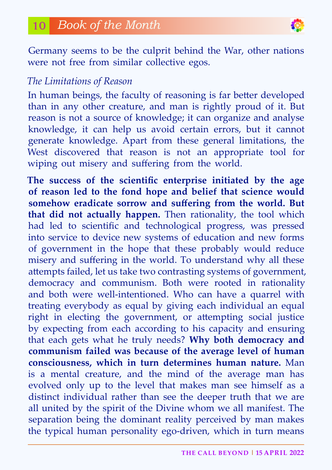

Germany seems to be the culprit behind the War, other nations were not free from similar collective egos.

#### *The Limitations of Reason*

In human beings, the faculty of reasoning is far better developed than in any other creature, and man is rightly proud of it. But reason is not a source of knowledge; it can organize and analyse knowledge, it can help us avoid certain errors, but it cannot generate knowledge. Apart from these general limitations, the West discovered that reason is not an appropriate tool for wiping out misery and suffering from the world.

**The success of the scientific enterprise initiated by the age of reason led to the fond hope and belief that science would somehow eradicate sorrow and suffering from the world. But that did not actually happen.** Then rationality, the tool which had led to scientific and technological progress, was pressed into service to device new systems of education and new forms of government in the hope that these probably would reduce misery and suffering in the world. To understand why all these attempts failed, let us take two contrasting systems of government, democracy and communism. Both were rooted in rationality and both were well-intentioned. Who can have a quarrel with treating everybody as equal by giving each individual an equal right in electing the government, or attempting social justice by expecting from each according to his capacity and ensuring that each gets what he truly needs? **Why both democracy and communism failed was because of the average level of human consciousness, which in turn determines human nature.** Man is a mental creature, and the mind of the average man has evolved only up to the level that makes man see himself as a distinct individual rather than see the deeper truth that we are all united by the spirit of the Divine whom we all manifest. The separation being the dominant reality perceived by man makes the typical human personality ego-driven, which in turn means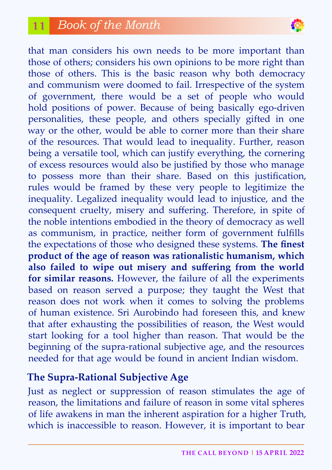

that man considers his own needs to be more important than those of others; considers his own opinions to be more right than those of others. This is the basic reason why both democracy and communism were doomed to fail. Irrespective of the system of government, there would be a set of people who would hold positions of power. Because of being basically ego-driven personalities, these people, and others specially gifted in one way or the other, would be able to corner more than their share of the resources. That would lead to inequality. Further, reason being a versatile tool, which can justify everything, the cornering of excess resources would also be justified by those who manage to possess more than their share. Based on this justification, rules would be framed by these very people to legitimize the inequality. Legalized inequality would lead to injustice, and the consequent cruelty, misery and suffering. Therefore, in spite of the noble intentions embodied in the theory of democracy as well as communism, in practice, neither form of government fulfills the expectations of those who designed these systems. **The finest product of the age of reason was rationalistic humanism, which also failed to wipe out misery and suffering from the world for similar reasons.** However, the failure of all the experiments based on reason served a purpose; they taught the West that reason does not work when it comes to solving the problems of human existence. Sri Aurobindo had foreseen this, and knew that after exhausting the possibilities of reason, the West would start looking for a tool higher than reason. That would be the beginning of the supra-rational subjective age, and the resources needed for that age would be found in ancient Indian wisdom.

#### **The Supra-Rational Subjective Age**

Just as neglect or suppression of reason stimulates the age of reason, the limitations and failure of reason in some vital spheres of life awakens in man the inherent aspiration for a higher Truth, which is inaccessible to reason. However, it is important to bear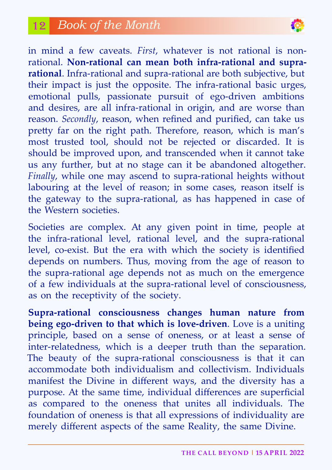## 12 *Book of the Month*



in mind a few caveats. *First*, whatever is not rational is nonrational. **Non-rational can mean both infra-rational and suprarational**. Infra-rational and supra-rational are both subjective, but their impact is just the opposite. The infra-rational basic urges, emotional pulls, passionate pursuit of ego-driven ambitions and desires, are all infra-rational in origin, and are worse than reason. *Secondly*, reason, when refined and purified, can take us pretty far on the right path. Therefore, reason, which is man's most trusted tool, should not be rejected or discarded. It is should be improved upon, and transcended when it cannot take us any further, but at no stage can it be abandoned altogether. *Finally*, while one may ascend to supra-rational heights without labouring at the level of reason; in some cases, reason itself is the gateway to the supra-rational, as has happened in case of the Western societies.

Societies are complex. At any given point in time, people at the infra-rational level, rational level, and the supra-rational level, co-exist. But the era with which the society is identified depends on numbers. Thus, moving from the age of reason to the supra-rational age depends not as much on the emergence of a few individuals at the supra-rational level of consciousness, as on the receptivity of the society.

**Supra-rational consciousness changes human nature from being ego-driven to that which is love-driven**. Love is a uniting principle, based on a sense of oneness, or at least a sense of inter-relatedness, which is a deeper truth than the separation. The beauty of the supra-rational consciousness is that it can accommodate both individualism and collectivism. Individuals manifest the Divine in different ways, and the diversity has a purpose. At the same time, individual differences are superficial as compared to the oneness that unites all individuals. The foundation of oneness is that all expressions of individuality are merely different aspects of the same Reality, the same Divine.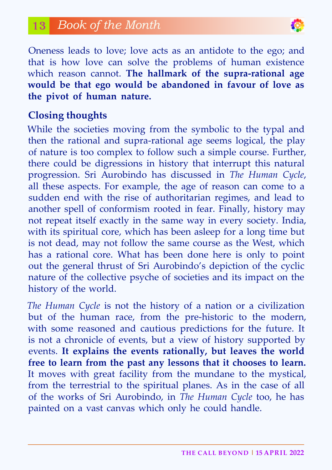## 13 *Book of the Month*



Oneness leads to love; love acts as an antidote to the ego; and that is how love can solve the problems of human existence which reason cannot. **The hallmark of the supra-rational age would be that ego would be abandoned in favour of love as the pivot of human nature.**

#### **Closing thoughts**

While the societies moving from the symbolic to the typal and then the rational and supra-rational age seems logical, the play of nature is too complex to follow such a simple course. Further, there could be digressions in history that interrupt this natural progression. Sri Aurobindo has discussed in *The Human Cycle*, all these aspects. For example, the age of reason can come to a sudden end with the rise of authoritarian regimes, and lead to another spell of conformism rooted in fear. Finally, history may not repeat itself exactly in the same way in every society. India, with its spiritual core, which has been asleep for a long time but is not dead, may not follow the same course as the West, which has a rational core. What has been done here is only to point out the general thrust of Sri Aurobindo's depiction of the cyclic nature of the collective psyche of societies and its impact on the history of the world.

*The Human Cycle* is not the history of a nation or a civilization but of the human race, from the pre-historic to the modern, with some reasoned and cautious predictions for the future. It is not a chronicle of events, but a view of history supported by events. **It explains the events rationally, but leaves the world free to learn from the past any lessons that it chooses to learn.** It moves with great facility from the mundane to the mystical, from the terrestrial to the spiritual planes. As in the case of all of the works of Sri Aurobindo, in *The Human Cycle* too, he has painted on a vast canvas which only he could handle.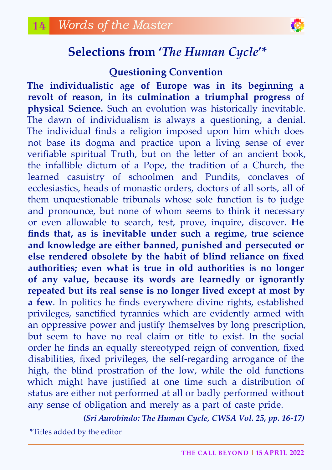

## **Selections from '***The Human Cycle***'\***

#### **Questioning Convention**

**The individualistic age of Europe was in its beginning a revolt of reason, in its culmination a triumphal progress of physical Science.** Such an evolution was historically inevitable. The dawn of individualism is always a questioning, a denial. The individual finds a religion imposed upon him which does not base its dogma and practice upon a living sense of ever verifiable spiritual Truth, but on the letter of an ancient book, the infallible dictum of a Pope, the tradition of a Church, the learned casuistry of schoolmen and Pundits, conclaves of ecclesiastics, heads of monastic orders, doctors of all sorts, all of them unquestionable tribunals whose sole function is to judge and pronounce, but none of whom seems to think it necessary or even allowable to search, test, prove, inquire, discover. **he finds that, as is inevitable under such a regime, true science and knowledge are either banned, punished and persecuted or else rendered obsolete by the habit of blind reliance on fixed authorities; even what is true in old authorities is no longer of any value, because its words are learnedly or ignorantly repeated but its real sense is no longer lived except at most by a few**. In politics he finds everywhere divine rights, established privileges, sanctified tyrannies which are evidently armed with an oppressive power and justify themselves by long prescription, but seem to have no real claim or title to exist. In the social order he finds an equally stereotyped reign of convention, fixed disabilities, fixed privileges, the self-regarding arrogance of the high, the blind prostration of the low, while the old functions which might have justified at one time such a distribution of status are either not performed at all or badly performed without any sense of obligation and merely as a part of caste pride.

*(Sri Aurobindo: The Human Cycle, CWSA Vol. 25, pp. 16-17)*

\*Titles added by the editor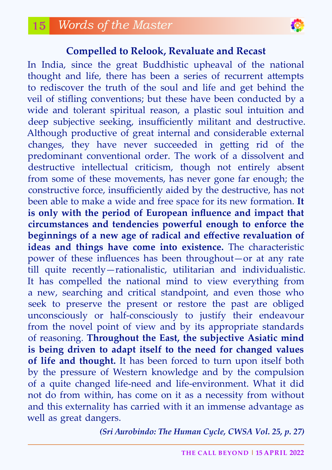

#### **Compelled to Relook, Revaluate and Recast**

In India, since the great Buddhistic upheaval of the national thought and life, there has been a series of recurrent attempts to rediscover the truth of the soul and life and get behind the veil of stifling conventions; but these have been conducted by a wide and tolerant spiritual reason, a plastic soul intuition and deep subjective seeking, insufficiently militant and destructive. Although productive of great internal and considerable external changes, they have never succeeded in getting rid of the predominant conventional order. The work of a dissolvent and destructive intellectual criticism, though not entirely absent from some of these movements, has never gone far enough; the constructive force, insufficiently aided by the destructive, has not been able to make a wide and free space for its new formation. **It is only with the period of European influence and impact that circumstances and tendencies powerful enough to enforce the beginnings of a new age of radical and effective revaluation of ideas and things have come into existence.** The characteristic power of these influences has been throughout—or at any rate till quite recently—rationalistic, utilitarian and individualistic. It has compelled the national mind to view everything from a new, searching and critical standpoint, and even those who seek to preserve the present or restore the past are obliged unconsciously or half-consciously to justify their endeavour from the novel point of view and by its appropriate standards of reasoning. **Throughout the East, the subjective Asiatic mind is being driven to adapt itself to the need for changed values of life and thought.** It has been forced to turn upon itself both by the pressure of Western knowledge and by the compulsion of a quite changed life-need and life-environment. What it did not do from within, has come on it as a necessity from without and this externality has carried with it an immense advantage as well as great dangers.

*(Sri Aurobindo: The Human Cycle, CWSA Vol. 25, p. 27)*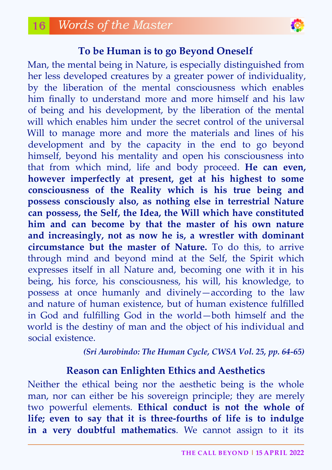

#### To be Human is to go Beyond Oneself

Man, the mental being in Nature, is especially distinguished from her less developed creatures by a greater power of individuality, by the liberation of the mental consciousness which enables him finally to understand more and more himself and his law of being and his development, by the liberation of the mental will which enables him under the secret control of the universal Will to manage more and more the materials and lines of his development and by the capacity in the end to go beyond himself, beyond his mentality and open his consciousness into that from which mind, life and body proceed. **He can even, however imperfectly at present, get at his highest to some consciousness of the Reality which is his true being and possess consciously also, as nothing else in terrestrial Nature can possess, the Self, the Idea, the Will which have constituted him and can become by that the master of his own nature and increasingly, not as now he is, a wrestler with dominant circumstance but the master of Nature.** To do this, to arrive through mind and beyond mind at the Self, the Spirit which expresses itself in all Nature and, becoming one with it in his being, his force, his consciousness, his will, his knowledge, to possess at once humanly and divinely—according to the law and nature of human existence, but of human existence fulfilled in God and fulfilling God in the world—both himself and the world is the destiny of man and the object of his individual and social existence.

#### *(Sri Aurobindo: The Human Cycle, CWSA Vol. 25, pp. 64-65)*

#### **Reason can Enlighten Ethics and Aesthetics**

Neither the ethical being nor the aesthetic being is the whole man, nor can either be his sovereign principle; they are merely two powerful elements. **Ethical conduct is not the whole of life; even to say that it is three-fourths of life is to indulge in a very doubtful mathematics**. We cannot assign to it its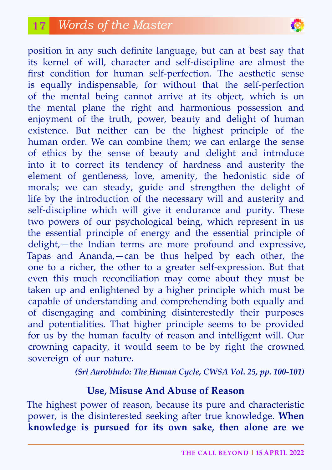

position in any such definite language, but can at best say that its kernel of will, character and self-discipline are almost the first condition for human self-perfection. The aesthetic sense is equally indispensable, for without that the self-perfection of the mental being cannot arrive at its object, which is on the mental plane the right and harmonious possession and enjoyment of the truth, power, beauty and delight of human existence. But neither can be the highest principle of the human order. We can combine them; we can enlarge the sense of ethics by the sense of beauty and delight and introduce into it to correct its tendency of hardness and austerity the element of gentleness, love, amenity, the hedonistic side of morals; we can steady, guide and strengthen the delight of life by the introduction of the necessary will and austerity and self-discipline which will give it endurance and purity. These two powers of our psychological being, which represent in us the essential principle of energy and the essential principle of delight,—the Indian terms are more profound and expressive, Tapas and Ananda,—can be thus helped by each other, the one to a richer, the other to a greater self-expression. But that even this much reconciliation may come about they must be taken up and enlightened by a higher principle which must be capable of understanding and comprehending both equally and of disengaging and combining disinterestedly their purposes and potentialities. That higher principle seems to be provided for us by the human faculty of reason and intelligent will. Our crowning capacity, it would seem to be by right the crowned sovereign of our nature.

*(Sri Aurobindo: The Human Cycle, CWSA Vol. 25, pp. 100-101)*

#### **Use, Misuse And Abuse of Reason**

The highest power of reason, because its pure and characteristic power, is the disinterested seeking after true knowledge. **When knowledge is pursued for its own sake, then alone are we**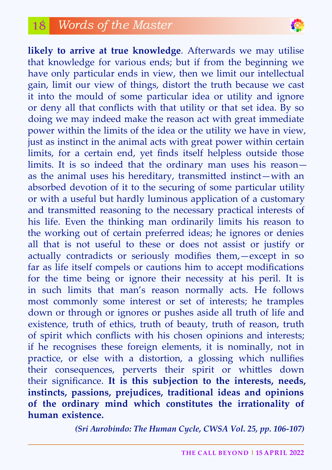## 18 *Words of the Master*



**likely to arrive at true knowledge**. Afterwards we may utilise that knowledge for various ends; but if from the beginning we have only particular ends in view, then we limit our intellectual gain, limit our view of things, distort the truth because we cast it into the mould of some particular idea or utility and ignore or deny all that conflicts with that utility or that set idea. By so doing we may indeed make the reason act with great immediate power within the limits of the idea or the utility we have in view, just as instinct in the animal acts with great power within certain limits, for a certain end, yet finds itself helpless outside those limits. It is so indeed that the ordinary man uses his reason as the animal uses his hereditary, transmitted instinct—with an absorbed devotion of it to the securing of some particular utility or with a useful but hardly luminous application of a customary and transmitted reasoning to the necessary practical interests of his life. Even the thinking man ordinarily limits his reason to the working out of certain preferred ideas; he ignores or denies all that is not useful to these or does not assist or justify or actually contradicts or seriously modifies them,—except in so far as life itself compels or cautions him to accept modifications for the time being or ignore their necessity at his peril. It is in such limits that man's reason normally acts. He follows most commonly some interest or set of interests; he tramples down or through or ignores or pushes aside all truth of life and existence, truth of ethics, truth of beauty, truth of reason, truth of spirit which conflicts with his chosen opinions and interests; if he recognises these foreign elements, it is nominally, not in practice, or else with a distortion, a glossing which nullifies their consequences, perverts their spirit or whittles down their significance. **It is this subjection to the interests, needs, instincts, passions, prejudices, traditional ideas and opinions of the ordinary mind which constitutes the irrationality of human existence.**

*(Sri Aurobindo: The Human Cycle, CWSA Vol. 25, pp. 106-107)*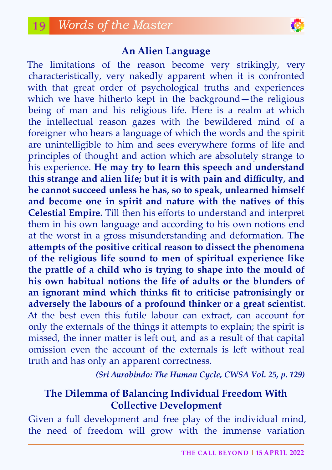

#### **an alien language**

The limitations of the reason become very strikingly, very characteristically, very nakedly apparent when it is confronted with that great order of psychological truths and experiences which we have hitherto kept in the background—the religious being of man and his religious life. Here is a realm at which the intellectual reason gazes with the bewildered mind of a foreigner who hears a language of which the words and the spirit are unintelligible to him and sees everywhere forms of life and principles of thought and action which are absolutely strange to his experience. **He may try to learn this speech and understand this strange and alien life; but it is with pain and difficulty, and he cannot succeed unless he has, so to speak, unlearned himself and become one in spirit and nature with the natives of this Celestial Empire.** Till then his efforts to understand and interpret them in his own language and according to his own notions end at the worst in a gross misunderstanding and deformation. **The attempts of the positive critical reason to dissect the phenomena of the religious life sound to men of spiritual experience like the prattle of a child who is trying to shape into the mould of his own habitual notions the life of adults or the blunders of an ignorant mind which thinks fit to criticise patronisingly or adversely the labours of a profound thinker or a great scientist**. At the best even this futile labour can extract, can account for only the externals of the things it attempts to explain; the spirit is missed, the inner matter is left out, and as a result of that capital omission even the account of the externals is left without real truth and has only an apparent correctness.

*(Sri Aurobindo: The Human Cycle, CWSA Vol. 25, p. 129)*

#### **The Dilemma of Balancing Individual Freedom With Collective Development**

Given a full development and free play of the individual mind, the need of freedom will grow with the immense variation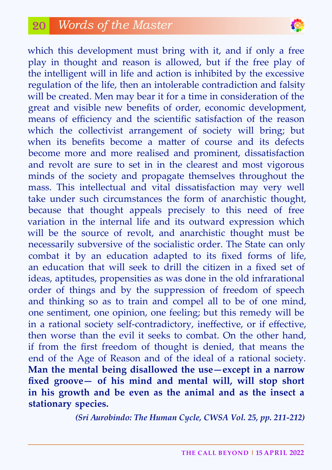

which this development must bring with it, and if only a free play in thought and reason is allowed, but if the free play of the intelligent will in life and action is inhibited by the excessive regulation of the life, then an intolerable contradiction and falsity will be created. Men may bear it for a time in consideration of the great and visible new benefits of order, economic development, means of efficiency and the scientific satisfaction of the reason which the collectivist arrangement of society will bring; but when its benefits become a matter of course and its defects become more and more realised and prominent, dissatisfaction and revolt are sure to set in in the clearest and most vigorous minds of the society and propagate themselves throughout the mass. This intellectual and vital dissatisfaction may very well take under such circumstances the form of anarchistic thought, because that thought appeals precisely to this need of free variation in the internal life and its outward expression which will be the source of revolt, and anarchistic thought must be necessarily subversive of the socialistic order. The State can only combat it by an education adapted to its fixed forms of life, an education that will seek to drill the citizen in a fixed set of ideas, aptitudes, propensities as was done in the old infrarational order of things and by the suppression of freedom of speech and thinking so as to train and compel all to be of one mind, one sentiment, one opinion, one feeling; but this remedy will be in a rational society self-contradictory, ineffective, or if effective, then worse than the evil it seeks to combat. On the other hand, if from the first freedom of thought is denied, that means the end of the Age of Reason and of the ideal of a rational society. **Man the mental being disallowed the use—except in a narrow fixed groove— of his mind and mental will, will stop short in his growth and be even as the animal and as the insect a stationary species.**

*(Sri Aurobindo: The Human Cycle, CWSA Vol. 25, pp. 211-212)*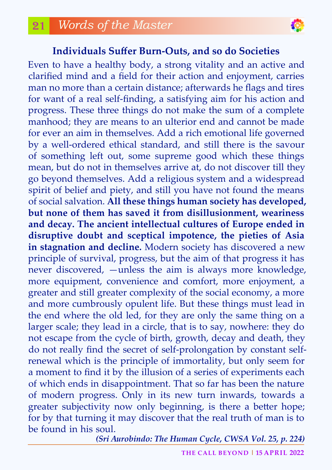

#### **Individuals Suffer Burn-Outs, and so do Societies**

Even to have a healthy body, a strong vitality and an active and clarified mind and a field for their action and enjoyment, carries man no more than a certain distance; afterwards he flags and tires for want of a real self-finding, a satisfying aim for his action and progress. These three things do not make the sum of a complete manhood; they are means to an ulterior end and cannot be made for ever an aim in themselves. Add a rich emotional life governed by a well-ordered ethical standard, and still there is the savour of something left out, some supreme good which these things mean, but do not in themselves arrive at, do not discover till they go beyond themselves. Add a religious system and a widespread spirit of belief and piety, and still you have not found the means of social salvation. **All these things human society has developed, but none of them has saved it from disillusionment, weariness and decay. The ancient intellectual cultures of Europe ended in disruptive doubt and sceptical impotence, the pieties of Asia in stagnation and decline.** Modern society has discovered a new principle of survival, progress, but the aim of that progress it has never discovered, —unless the aim is always more knowledge, more equipment, convenience and comfort, more enjoyment, a greater and still greater complexity of the social economy, a more and more cumbrously opulent life. But these things must lead in the end where the old led, for they are only the same thing on a larger scale; they lead in a circle, that is to say, nowhere: they do not escape from the cycle of birth, growth, decay and death, they do not really find the secret of self-prolongation by constant selfrenewal which is the principle of immortality, but only seem for a moment to find it by the illusion of a series of experiments each of which ends in disappointment. That so far has been the nature of modern progress. Only in its new turn inwards, towards a greater subjectivity now only beginning, is there a better hope; for by that turning it may discover that the real truth of man is to be found in his soul.

*(Sri Aurobindo: The Human Cycle, CWSA Vol. 25, p. 224)*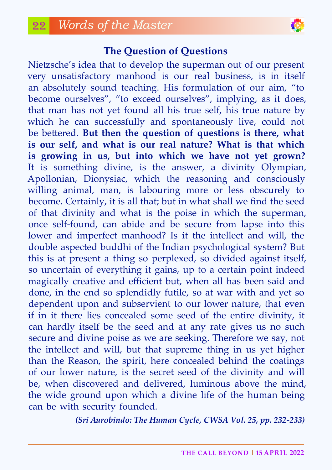

#### **The Question of Questions**

Nietzsche's idea that to develop the superman out of our present very unsatisfactory manhood is our real business, is in itself an absolutely sound teaching. His formulation of our aim, "to become ourselves", "to exceed ourselves", implying, as it does, that man has not yet found all his true self, his true nature by which he can successfully and spontaneously live, could not be bettered. **But then the question of questions is there, what is our self, and what is our real nature? What is that which is growing in us, but into which we have not yet grown?** It is something divine, is the answer, a divinity Olympian, Apollonian, Dionysiac, which the reasoning and consciously willing animal, man, is labouring more or less obscurely to become. Certainly, it is all that; but in what shall we find the seed of that divinity and what is the poise in which the superman, once self-found, can abide and be secure from lapse into this lower and imperfect manhood? Is it the intellect and will, the double aspected buddhi of the Indian psychological system? But this is at present a thing so perplexed, so divided against itself, so uncertain of everything it gains, up to a certain point indeed magically creative and efficient but, when all has been said and done, in the end so splendidly futile, so at war with and yet so dependent upon and subservient to our lower nature, that even if in it there lies concealed some seed of the entire divinity, it can hardly itself be the seed and at any rate gives us no such secure and divine poise as we are seeking. Therefore we say, not the intellect and will, but that supreme thing in us yet higher than the Reason, the spirit, here concealed behind the coatings of our lower nature, is the secret seed of the divinity and will be, when discovered and delivered, luminous above the mind, the wide ground upon which a divine life of the human being can be with security founded.

*(Sri Aurobindo: The Human Cycle, CWSA Vol. 25, pp. 232-233)*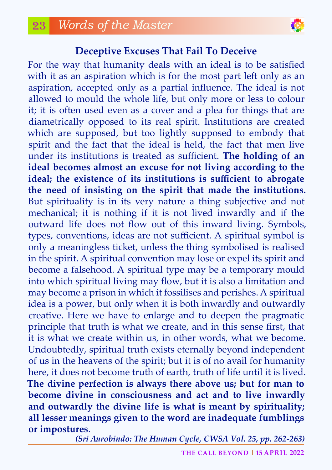

#### **Deceptive Excuses That Fail To Deceive**

For the way that humanity deals with an ideal is to be satisfied with it as an aspiration which is for the most part left only as an aspiration, accepted only as a partial influence. The ideal is not allowed to mould the whole life, but only more or less to colour it; it is often used even as a cover and a plea for things that are diametrically opposed to its real spirit. Institutions are created which are supposed, but too lightly supposed to embody that spirit and the fact that the ideal is held, the fact that men live under its institutions is treated as sufficient. **The holding of an ideal becomes almost an excuse for not living according to the ideal; the existence of its institutions is sufficient to abrogate the need of insisting on the spirit that made the institutions.** But spirituality is in its very nature a thing subjective and not mechanical; it is nothing if it is not lived inwardly and if the outward life does not flow out of this inward living. Symbols, types, conventions, ideas are not sufficient. A spiritual symbol is only a meaningless ticket, unless the thing symbolised is realised in the spirit. A spiritual convention may lose or expel its spirit and become a falsehood. A spiritual type may be a temporary mould into which spiritual living may flow, but it is also a limitation and may become a prison in which it fossilises and perishes. A spiritual idea is a power, but only when it is both inwardly and outwardly creative. Here we have to enlarge and to deepen the pragmatic principle that truth is what we create, and in this sense first, that it is what we create within us, in other words, what we become. Undoubtedly, spiritual truth exists eternally beyond independent of us in the heavens of the spirit; but it is of no avail for humanity here, it does not become truth of earth, truth of life until it is lived. **The divine perfection is always there above us; but for man to become divine in consciousness and act and to live inwardly and outwardly the divine life is what is meant by spirituality; all lesser meanings given to the word are inadequate fumblings or impostures**.

*(Sri Aurobindo: The Human Cycle, CWSA Vol. 25, pp. 262-263)*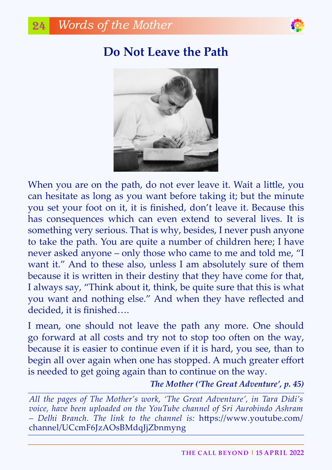

## **Do Not Leave the Path**



When you are on the path, do not ever leave it. Wait a little, you can hesitate as long as you want before taking it; but the minute you set your foot on it, it is finished, don't leave it. Because this has consequences which can even extend to several lives. It is something very serious. That is why, besides, I never push anyone to take the path. You are quite a number of children here; I have never asked anyone – only those who came to me and told me, "I want it." And to these also, unless I am absolutely sure of them because it is written in their destiny that they have come for that, I always say, "Think about it, think, be quite sure that this is what you want and nothing else." And when they have reflected and decided, it is finished….

I mean, one should not leave the path any more. One should go forward at all costs and try not to stop too often on the way, because it is easier to continue even if it is hard, you see, than to begin all over again when one has stopped. A much greater effort is needed to get going again than to continue on the way.

*The Mother ('The Great Adventure', p. 45)*

*All the pages of The Mother's work, 'The Great Adventure', in Tara Didi's voice, have been uploaded on the YouTube channel of Sri Aurobindo Ashram – Delhi Branch. The link to the channel is:* https://www.youtube.com/ channel/UCcmF6JzAOsBMdqJjZbnmyng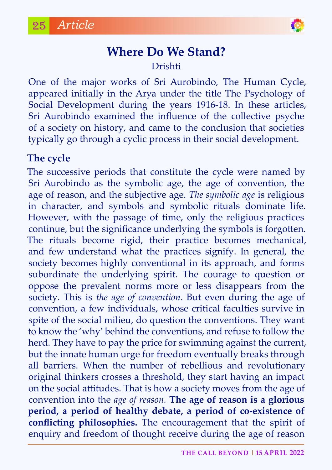

## **Where Do We Stand?** Drishti

One of the major works of Sri Aurobindo, The Human Cycle, appeared initially in the Arya under the title The Psychology of Social Development during the years 1916-18. In these articles, Sri Aurobindo examined the influence of the collective psyche of a society on history, and came to the conclusion that societies typically go through a cyclic process in their social development.

#### **The cycle**

The successive periods that constitute the cycle were named by Sri Aurobindo as the symbolic age, the age of convention, the age of reason, and the subjective age. *The symbolic age* is religious in character, and symbols and symbolic rituals dominate life. However, with the passage of time, only the religious practices continue, but the significance underlying the symbols is forgotten. The rituals become rigid, their practice becomes mechanical, and few understand what the practices signify. In general, the society becomes highly conventional in its approach, and forms subordinate the underlying spirit. The courage to question or oppose the prevalent norms more or less disappears from the society. This is *the age of convention*. But even during the age of convention, a few individuals, whose critical faculties survive in spite of the social milieu, do question the conventions. They want to know the 'why' behind the conventions, and refuse to follow the herd. They have to pay the price for swimming against the current, but the innate human urge for freedom eventually breaks through all barriers. When the number of rebellious and revolutionary original thinkers crosses a threshold, they start having an impact on the social attitudes. That is how a society moves from the age of convention into the *age of reason.* **The age of reason is a glorious period, a period of healthy debate, a period of co-existence of conflicting philosophies.** The encouragement that the spirit of enquiry and freedom of thought receive during the age of reason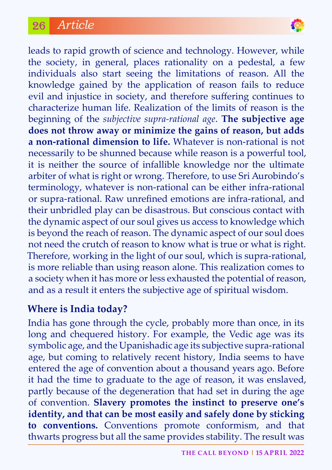

leads to rapid growth of science and technology. However, while the society, in general, places rationality on a pedestal, a few individuals also start seeing the limitations of reason. All the knowledge gained by the application of reason fails to reduce evil and injustice in society, and therefore suffering continues to characterize human life. Realization of the limits of reason is the beginning of the *subjective supra-rational age*. **The subjective age does not throw away or minimize the gains of reason, but adds a non-rational dimension to life.** Whatever is non-rational is not necessarily to be shunned because while reason is a powerful tool, it is neither the source of infallible knowledge nor the ultimate arbiter of what is right or wrong. Therefore, to use Sri Aurobindo's terminology, whatever is non-rational can be either infra-rational or supra-rational. Raw unrefined emotions are infra-rational, and their unbridled play can be disastrous. But conscious contact with the dynamic aspect of our soul gives us access to knowledge which is beyond the reach of reason. The dynamic aspect of our soul does not need the crutch of reason to know what is true or what is right. Therefore, working in the light of our soul, which is supra-rational, is more reliable than using reason alone. This realization comes to a society when it has more or less exhausted the potential of reason, and as a result it enters the subjective age of spiritual wisdom.

#### **Where is India today?**

India has gone through the cycle, probably more than once, in its long and chequered history. For example, the Vedic age was its symbolic age, and the Upanishadic age its subjective supra-rational age, but coming to relatively recent history, India seems to have entered the age of convention about a thousand years ago. Before it had the time to graduate to the age of reason, it was enslaved, partly because of the degeneration that had set in during the age of convention. **Slavery promotes the instinct to preserve one's identity, and that can be most easily and safely done by sticking to conventions.** Conventions promote conformism, and that thwarts progress but all the same provides stability. The result was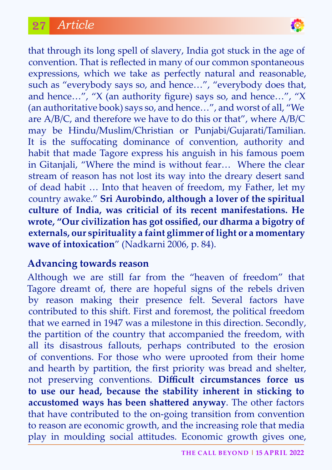

that through its long spell of slavery, India got stuck in the age of convention. That is reflected in many of our common spontaneous expressions, which we take as perfectly natural and reasonable, such as "everybody says so, and hence…", "everybody does that, and hence…", "X (an authority figure) says so, and hence…", "X (an authoritative book) says so, and hence…", and worst of all, "We are A/B/C, and therefore we have to do this or that", where A/B/C may be Hindu/Muslim/Christian or Punjabi/Gujarati/Tamilian. It is the suffocating dominance of convention, authority and habit that made Tagore express his anguish in his famous poem in Gitanjali, "Where the mind is without fear… Where the clear stream of reason has not lost its way into the dreary desert sand of dead habit … Into that heaven of freedom, my Father, let my country awake." **Sri Aurobindo, although a lover of the spiritual culture of India, was criticial of its recent manifestations. He wrote, "Our civilization has got ossified, our dharma a bigotry of externals, our spirituality a faint glimmer of light or a momentary wave of intoxication**" (Nadkarni 2006, p. 84).

#### **Advancing towards reason**

Although we are still far from the "heaven of freedom" that Tagore dreamt of, there are hopeful signs of the rebels driven by reason making their presence felt. Several factors have contributed to this shift. First and foremost, the political freedom that we earned in 1947 was a milestone in this direction. Secondly, the partition of the country that accompanied the freedom, with all its disastrous fallouts, perhaps contributed to the erosion of conventions. For those who were uprooted from their home and hearth by partition, the first priority was bread and shelter, not preserving conventions. **Difficult circumstances force us to use our head, because the stability inherent in sticking to accustomed ways has been shattered anyway**. The other factors that have contributed to the on-going transition from convention to reason are economic growth, and the increasing role that media play in moulding social attitudes. Economic growth gives one,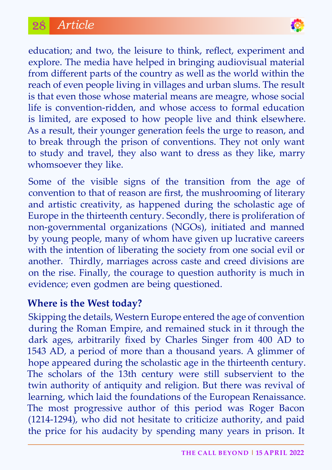

education; and two, the leisure to think, reflect, experiment and explore. The media have helped in bringing audiovisual material from different parts of the country as well as the world within the reach of even people living in villages and urban slums. The result is that even those whose material means are meagre, whose social life is convention-ridden, and whose access to formal education is limited, are exposed to how people live and think elsewhere. As a result, their younger generation feels the urge to reason, and to break through the prison of conventions. They not only want to study and travel, they also want to dress as they like, marry whomsoever they like.

Some of the visible signs of the transition from the age of convention to that of reason are first, the mushrooming of literary and artistic creativity, as happened during the scholastic age of Europe in the thirteenth century. Secondly, there is proliferation of non-governmental organizations (NGOs), initiated and manned by young people, many of whom have given up lucrative careers with the intention of liberating the society from one social evil or another. Thirdly, marriages across caste and creed divisions are on the rise. Finally, the courage to question authority is much in evidence; even godmen are being questioned.

#### **Where is the West today?**

Skipping the details, Western Europe entered the age of convention during the Roman Empire, and remained stuck in it through the dark ages, arbitrarily fixed by Charles Singer from 400 AD to 1543 AD, a period of more than a thousand years. A glimmer of hope appeared during the scholastic age in the thirteenth century. The scholars of the 13th century were still subservient to the twin authority of antiquity and religion. But there was revival of learning, which laid the foundations of the European Renaissance. The most progressive author of this period was Roger Bacon (1214-1294), who did not hesitate to criticize authority, and paid the price for his audacity by spending many years in prison. It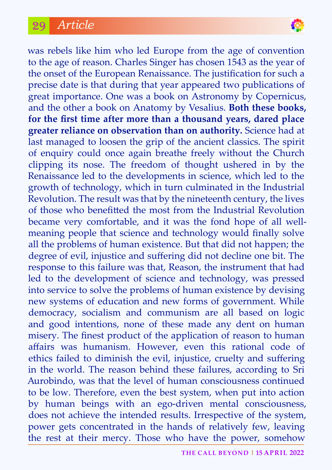

was rebels like him who led Europe from the age of convention to the age of reason. Charles Singer has chosen 1543 as the year of the onset of the European Renaissance. The justification for such a precise date is that during that year appeared two publications of great importance. One was a book on Astronomy by Copernicus, and the other a book on Anatomy by Vesalius. **Both these books, for the first time after more than a thousand years, dared place greater reliance on observation than on authority.** Science had at last managed to loosen the grip of the ancient classics. The spirit of enquiry could once again breathe freely without the Church clipping its nose. The freedom of thought ushered in by the Renaissance led to the developments in science, which led to the growth of technology, which in turn culminated in the Industrial Revolution. The result was that by the nineteenth century, the lives of those who benefitted the most from the Industrial Revolution became very comfortable, and it was the fond hope of all wellmeaning people that science and technology would finally solve all the problems of human existence. But that did not happen; the degree of evil, injustice and suffering did not decline one bit. The response to this failure was that, Reason, the instrument that had led to the development of science and technology, was pressed into service to solve the problems of human existence by devising new systems of education and new forms of government. While democracy, socialism and communism are all based on logic and good intentions, none of these made any dent on human misery. The finest product of the application of reason to human affairs was humanism. However, even this rational code of ethics failed to diminish the evil, injustice, cruelty and suffering in the world. The reason behind these failures, according to Sri Aurobindo, was that the level of human consciousness continued to be low. Therefore, even the best system, when put into action by human beings with an ego-driven mental consciousness, does not achieve the intended results. Irrespective of the system, power gets concentrated in the hands of relatively few, leaving the rest at their mercy. Those who have the power, somehow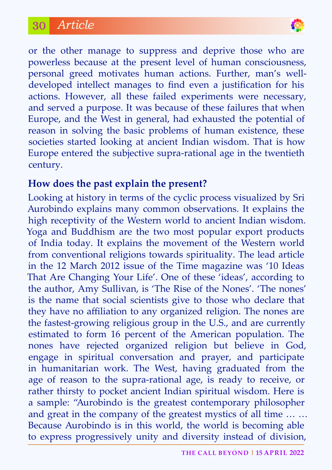

or the other manage to suppress and deprive those who are powerless because at the present level of human consciousness, personal greed motivates human actions. Further, man's welldeveloped intellect manages to find even a justification for his actions. However, all these failed experiments were necessary, and served a purpose. It was because of these failures that when Europe, and the West in general, had exhausted the potential of reason in solving the basic problems of human existence, these societies started looking at ancient Indian wisdom. That is how Europe entered the subjective supra-rational age in the twentieth century.

#### **How does the past explain the present?**

Looking at history in terms of the cyclic process visualized by Sri Aurobindo explains many common observations. It explains the high receptivity of the Western world to ancient Indian wisdom. Yoga and Buddhism are the two most popular export products of India today. It explains the movement of the Western world from conventional religions towards spirituality. The lead article in the 12 March 2012 issue of the Time magazine was '10 Ideas That Are Changing Your Life'. One of these 'ideas', according to the author, Amy Sullivan, is 'The Rise of the Nones'. 'The nones' is the name that social scientists give to those who declare that they have no affiliation to any organized religion. The nones are the fastest-growing religious group in the U.S., and are currently estimated to form 16 percent of the American population. The nones have rejected organized religion but believe in God, engage in spiritual conversation and prayer, and participate in humanitarian work. The West, having graduated from the age of reason to the supra-rational age, is ready to receive, or rather thirsty to pocket ancient Indian spiritual wisdom. Here is a sample: "Aurobindo is the greatest contemporary philosopher and great in the company of the greatest mystics of all time … … Because Aurobindo is in this world, the world is becoming able to express progressively unity and diversity instead of division,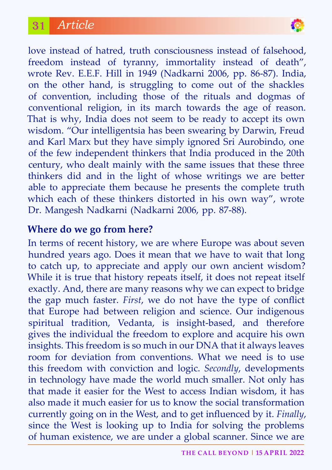

love instead of hatred, truth consciousness instead of falsehood, freedom instead of tyranny, immortality instead of death", wrote Rev. E.E.F. Hill in 1949 (Nadkarni 2006, pp. 86-87). India, on the other hand, is struggling to come out of the shackles of convention, including those of the rituals and dogmas of conventional religion, in its march towards the age of reason. That is why, India does not seem to be ready to accept its own wisdom. "Our intelligentsia has been swearing by Darwin, Freud and Karl Marx but they have simply ignored Sri Aurobindo, one of the few independent thinkers that India produced in the 20th century, who dealt mainly with the same issues that these three thinkers did and in the light of whose writings we are better able to appreciate them because he presents the complete truth which each of these thinkers distorted in his own way", wrote Dr. Mangesh Nadkarni (Nadkarni 2006, pp. 87-88).

#### **Where do we go from here?**

In terms of recent history, we are where Europe was about seven hundred years ago. Does it mean that we have to wait that long to catch up, to appreciate and apply our own ancient wisdom? While it is true that history repeats itself, it does not repeat itself exactly. And, there are many reasons why we can expect to bridge the gap much faster. *First*, we do not have the type of conflict that Europe had between religion and science. Our indigenous spiritual tradition, Vedanta, is insight-based, and therefore gives the individual the freedom to explore and acquire his own insights. This freedom is so much in our DNA that it always leaves room for deviation from conventions. What we need is to use this freedom with conviction and logic. *Secondly*, developments in technology have made the world much smaller. Not only has that made it easier for the West to access Indian wisdom, it has also made it much easier for us to know the social transformation currently going on in the West, and to get influenced by it. *Finally*, since the West is looking up to India for solving the problems of human existence, we are under a global scanner. Since we are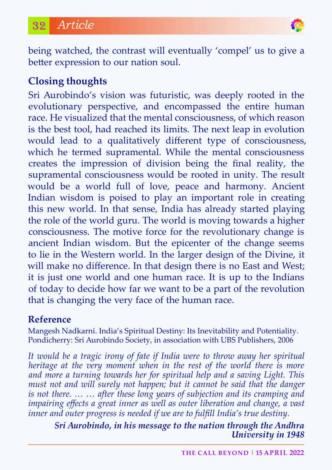

being watched, the contrast will eventually 'compel' us to give a better expression to our nation soul.

#### **Closing thoughts**

Sri Aurobindo's vision was futuristic, was deeply rooted in the evolutionary perspective, and encompassed the entire human race. He visualized that the mental consciousness, of which reason is the best tool, had reached its limits. The next leap in evolution would lead to a qualitatively different type of consciousness, which he termed supramental. While the mental consciousness creates the impression of division being the final reality, the supramental consciousness would be rooted in unity. The result would be a world full of love, peace and harmony. Ancient Indian wisdom is poised to play an important role in creating this new world. In that sense, India has already started playing the role of the world guru. The world is moving towards a higher consciousness. The motive force for the revolutionary change is ancient Indian wisdom. But the epicenter of the change seems to lie in the Western world. In the larger design of the Divine, it will make no difference. In that design there is no East and West; it is just one world and one human race. It is up to the Indians of today to decide how far we want to be a part of the revolution that is changing the very face of the human race.

#### **Reference**

Mangesh Nadkarni. India's Spiritual Destiny: Its Inevitability and Potentiality. Pondicherry: Sri Aurobindo Society, in association with UBS Publishers, 2006

*It would be a tragic irony of fate if India were to throw away her spiritual heritage at the very moment when in the rest of the world there is more and more a turning towards her for spiritual help and a saving Light. This*  must not and will surely not happen; but it cannot be said that the danger *is not there. … … after these long years of subjection and its cramping and impairing effects a great inner as well as outer liberation and change, a vast inner and outer progress is needed if we are to fulfill India's true destiny.*

*Sri Aurobindo, in his message to the nation through the Andhra University in 1948*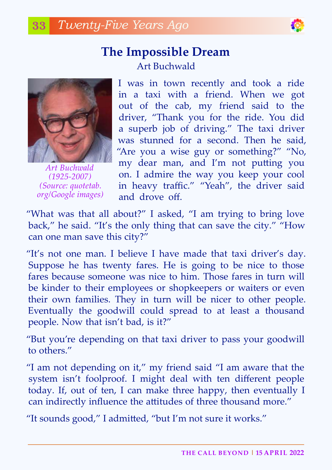

## **The Impossible Dream** Art Buchwald



*Art Buchwald (1925-2007) (Source: quotetab. org/Google images)*

I was in town recently and took a ride in a taxi with a friend. When we got out of the cab, my friend said to the driver, "Thank you for the ride. You did a superb job of driving." The taxi driver was stunned for a second. Then he said, "Are you a wise guy or something?" "No, my dear man, and I'm not putting you on. I admire the way you keep your cool in heavy traffic." "Yeah", the driver said and drove off.

"What was that all about?" I asked, "I am trying to bring love back," he said. "It's the only thing that can save the city." "How can one man save this city?"

"It's not one man. I believe I have made that taxi driver's day. Suppose he has twenty fares. He is going to be nice to those fares because someone was nice to him. Those fares in turn will be kinder to their employees or shopkeepers or waiters or even their own families. They in turn will be nicer to other people. Eventually the goodwill could spread to at least a thousand people. Now that isn't bad, is it?"

"But you're depending on that taxi driver to pass your goodwill to others."

"I am not depending on it," my friend said "I am aware that the system isn't foolproof. I might deal with ten different people today. If, out of ten, I can make three happy, then eventually I can indirectly influence the attitudes of three thousand more."

"It sounds good," I admitted, "but I'm not sure it works."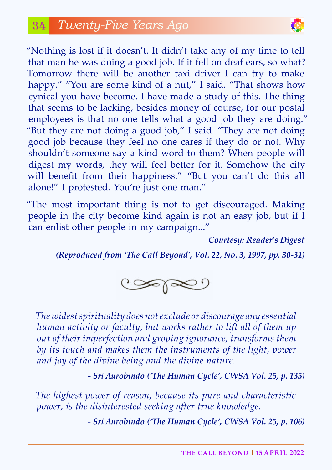

"Nothing is lost if it doesn't. It didn't take any of my time to tell that man he was doing a good job. If it fell on deaf ears, so what? Tomorrow there will be another taxi driver I can try to make happy." "You are some kind of a nut," I said. "That shows how cynical you have become. I have made a study of this. The thing that seems to be lacking, besides money of course, for our postal employees is that no one tells what a good job they are doing." "But they are not doing a good job," I said. "They are not doing good job because they feel no one cares if they do or not. Why shouldn't someone say a kind word to them? When people will digest my words, they will feel better for it. Somehow the city will benefit from their happiness." "But you can't do this all alone!" I protested. You're just one man."

"The most important thing is not to get discouraged. Making people in the city become kind again is not an easy job, but if I can enlist other people in my campaign..."

*Courtesy: Reader's Digest*

*(Reproduced from 'The Call Beyond', Vol. 22, No. 3, 1997, pp. 30-31)*



*The widest spirituality does not exclude or discourage any essential human activity or faculty, but works rather to lift all of them up out of their imperfection and groping ignorance, transforms them by its touch and makes them the instruments of the light, power and joy of the divine being and the divine nature.*

*- Sri Aurobindo ('The Human Cycle', CWSA Vol. 25, p. 135)*

*The highest power of reason, because its pure and characteristic power, is the disinterested seeking after true knowledge.*

*- Sri Aurobindo ('The Human Cycle', CWSA Vol. 25, p. 106)*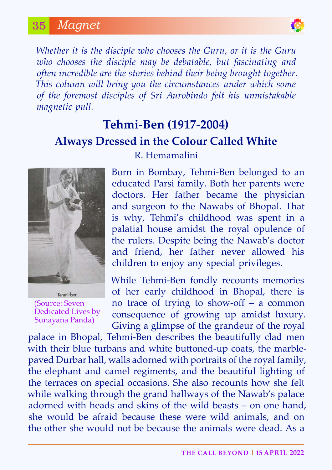

*Whether it is the disciple who chooses the Guru, or it is the Guru who chooses the disciple may be debatable, but fascinating and often incredible are the stories behind their being brought together. This column will bring you the circumstances under which some of the foremost disciples of Sri Aurobindo felt his unmistakable magnetic pull.*

## **Tehmi-Ben (1917-2004) Always Dressed in the Colour Called White**



(Source: Seven Dedicated Lives by Sunayana Panda)

R. Hemamalini

Born in Bombay, Tehmi-Ben belonged to an educated Parsi family. Both her parents were doctors. Her father became the physician and surgeon to the Nawabs of Bhopal. That is why, Tehmi's childhood was spent in a palatial house amidst the royal opulence of the rulers. Despite being the Nawab's doctor and friend, her father never allowed his children to enjoy any special privileges.

While Tehmi-Ben fondly recounts memories of her early childhood in Bhopal, there is no trace of trying to show-off – a common consequence of growing up amidst luxury. Giving a glimpse of the grandeur of the royal

palace in Bhopal, Tehmi-Ben describes the beautifully clad men with their blue turbans and white buttoned-up coats, the marblepaved Durbar hall, walls adorned with portraits of the royal family, the elephant and camel regiments, and the beautiful lighting of the terraces on special occasions. She also recounts how she felt while walking through the grand hallways of the Nawab's palace adorned with heads and skins of the wild beasts – on one hand, she would be afraid because these were wild animals, and on the other she would not be because the animals were dead. As a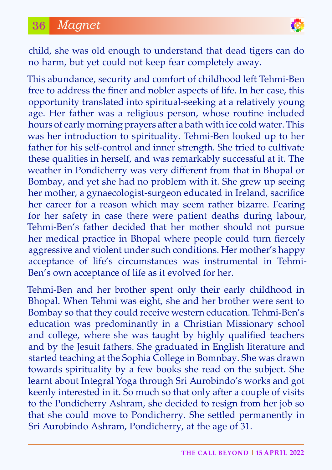

child, she was old enough to understand that dead tigers can do no harm, but yet could not keep fear completely away.

This abundance, security and comfort of childhood left Tehmi-Ben free to address the finer and nobler aspects of life. In her case, this opportunity translated into spiritual-seeking at a relatively young age. Her father was a religious person, whose routine included hours of early morning prayers after a bath with ice cold water. This was her introduction to spirituality. Tehmi-Ben looked up to her father for his self-control and inner strength. She tried to cultivate these qualities in herself, and was remarkably successful at it. The weather in Pondicherry was very different from that in Bhopal or Bombay, and yet she had no problem with it. She grew up seeing her mother, a gynaecologist-surgeon educated in Ireland, sacrifice her career for a reason which may seem rather bizarre. Fearing for her safety in case there were patient deaths during labour, Tehmi-Ben's father decided that her mother should not pursue her medical practice in Bhopal where people could turn fiercely aggressive and violent under such conditions. Her mother's happy acceptance of life's circumstances was instrumental in Tehmi-Ben's own acceptance of life as it evolved for her.

Tehmi-Ben and her brother spent only their early childhood in Bhopal. When Tehmi was eight, she and her brother were sent to Bombay so that they could receive western education. Tehmi-Ben's education was predominantly in a Christian Missionary school and college, where she was taught by highly qualified teachers and by the Jesuit fathers. She graduated in English literature and started teaching at the Sophia College in Bomnbay. She was drawn towards spirituality by a few books she read on the subject. She learnt about Integral Yoga through Sri Aurobindo's works and got keenly interested in it. So much so that only after a couple of visits to the Pondicherry Ashram, she decided to resign from her job so that she could move to Pondicherry. She settled permanently in Sri Aurobindo Ashram, Pondicherry, at the age of 31.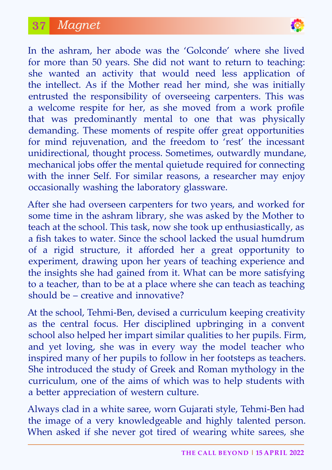

In the ashram, her abode was the 'Golconde' where she lived for more than 50 years. She did not want to return to teaching: she wanted an activity that would need less application of the intellect. As if the Mother read her mind, she was initially entrusted the responsibility of overseeing carpenters. This was a welcome respite for her, as she moved from a work profile that was predominantly mental to one that was physically demanding. These moments of respite offer great opportunities for mind rejuvenation, and the freedom to 'rest' the incessant unidirectional, thought process. Sometimes, outwardly mundane, mechanical jobs offer the mental quietude required for connecting with the inner Self. For similar reasons, a researcher may enjoy occasionally washing the laboratory glassware.

After she had overseen carpenters for two years, and worked for some time in the ashram library, she was asked by the Mother to teach at the school. This task, now she took up enthusiastically, as a fish takes to water. Since the school lacked the usual humdrum of a rigid structure, it afforded her a great opportunity to experiment, drawing upon her years of teaching experience and the insights she had gained from it. What can be more satisfying to a teacher, than to be at a place where she can teach as teaching should be – creative and innovative?

At the school, Tehmi-Ben, devised a curriculum keeping creativity as the central focus. Her disciplined upbringing in a convent school also helped her impart similar qualities to her pupils. Firm, and yet loving, she was in every way the model teacher who inspired many of her pupils to follow in her footsteps as teachers. She introduced the study of Greek and Roman mythology in the curriculum, one of the aims of which was to help students with a better appreciation of western culture.

Always clad in a white saree, worn Gujarati style, Tehmi-Ben had the image of a very knowledgeable and highly talented person. When asked if she never got tired of wearing white sarees, she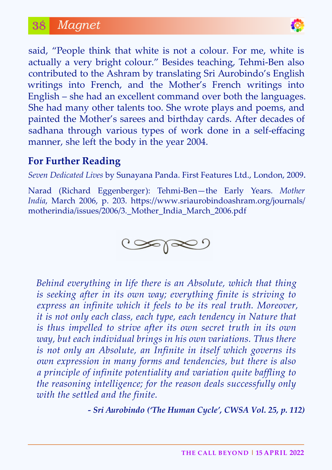

said, "People think that white is not a colour. For me, white is actually a very bright colour." Besides teaching, Tehmi-Ben also contributed to the Ashram by translating Sri Aurobindo's English writings into French, and the Mother's French writings into English – she had an excellent command over both the languages. She had many other talents too. She wrote plays and poems, and painted the Mother's sarees and birthday cards. After decades of sadhana through various types of work done in a self-effacing manner, she left the body in the year 2004.

#### **For Further Reading**

*Seven Dedicated Lives* by Sunayana Panda. First Features Ltd., London, 2009.

Narad (Richard Eggenberger): Tehmi-Ben—the Early Years. *Mother India*, March 2006, p. 203. https://www.sriaurobindoashram.org/journals/ motherindia/issues/2006/3.\_Mother\_India\_March\_2006.pdf



*Behind everything in life there is an Absolute, which that thing is seeking after in its own way; everything finite is striving to express an infinite which it feels to be its real truth. Moreover, it is not only each class, each type, each tendency in Nature that is thus impelled to strive after its own secret truth in its own way, but each individual brings in his own variations. Thus there is not only an Absolute, an Infinite in itself which governs its own expression in many forms and tendencies, but there is also a principle of infinite potentiality and variation quite baffling to the reasoning intelligence; for the reason deals successfully only with the settled and the finite.*

*- Sri Aurobindo ('The Human Cycle', CWSA Vol. 25, p. 112)*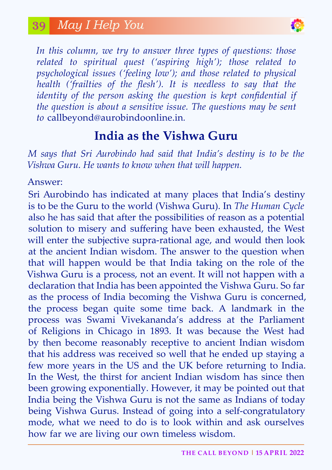

*In this column, we try to answer three types of questions: those related to spiritual quest ('aspiring high'); those related to psychological issues ('feeling low'); and those related to physical health ('frailties of the flesh'). It is needless to say that the identity of the person asking the question is kept confidential if the question is about a sensitive issue. The questions may be sent to* callbeyond@aurobindoonline.in*.*

## **India as the Vishwa Guru**

*M says that Sri Aurobindo had said that India's destiny is to be the Vishwa Guru. He wants to know when that will happen.*

#### Answer:

Sri Aurobindo has indicated at many places that India's destiny is to be the Guru to the world (Vishwa Guru). In *The Human Cycle*  also he has said that after the possibilities of reason as a potential solution to misery and suffering have been exhausted, the West will enter the subjective supra-rational age, and would then look at the ancient Indian wisdom. The answer to the question when that will happen would be that India taking on the role of the Vishwa Guru is a process, not an event. It will not happen with a declaration that India has been appointed the Vishwa Guru. So far as the process of India becoming the Vishwa Guru is concerned, the process began quite some time back. A landmark in the process was Swami Vivekananda's address at the Parliament of Religions in Chicago in 1893. It was because the West had by then become reasonably receptive to ancient Indian wisdom that his address was received so well that he ended up staying a few more years in the US and the UK before returning to India. In the West, the thirst for ancient Indian wisdom has since then been growing exponentially. However, it may be pointed out that India being the Vishwa Guru is not the same as Indians of today being Vishwa Gurus. Instead of going into a self-congratulatory mode, what we need to do is to look within and ask ourselves how far we are living our own timeless wisdom.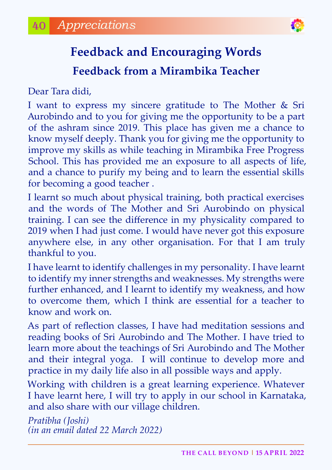

## **Feedback and Encouraging Words Feedback from a Mirambika Teacher**

Dear Tara didi,

I want to express my sincere gratitude to The Mother & Sri Aurobindo and to you for giving me the opportunity to be a part of the ashram since 2019. This place has given me a chance to know myself deeply. Thank you for giving me the opportunity to improve my skills as while teaching in Mirambika Free Progress School. This has provided me an exposure to all aspects of life, and a chance to purify my being and to learn the essential skills for becoming a good teacher .

I learnt so much about physical training, both practical exercises and the words of The Mother and Sri Aurobindo on physical training. I can see the difference in my physicality compared to 2019 when I had just come. I would have never got this exposure anywhere else, in any other organisation. For that I am truly thankful to you.

I have learnt to identify challenges in my personality. I have learnt to identify my inner strengths and weaknesses. My strengths were further enhanced, and I learnt to identify my weakness, and how to overcome them, which I think are essential for a teacher to know and work on.

As part of reflection classes, I have had meditation sessions and reading books of Sri Aurobindo and The Mother. I have tried to learn more about the teachings of Sri Aurobindo and The Mother and their integral yoga. I will continue to develop more and practice in my daily life also in all possible ways and apply.

Working with children is a great learning experience. Whatever I have learnt here, I will try to apply in our school in Karnataka, and also share with our village children.

*Pratibha (Joshi) (in an email dated 22 March 2022)*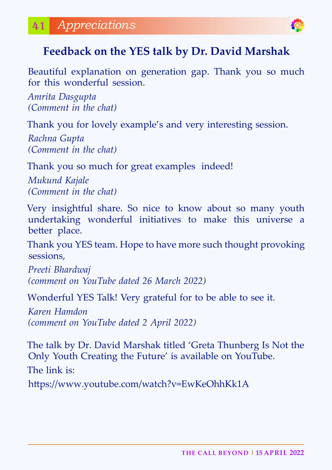

## **Feedback on the YES talk by Dr. David Marshak**

Beautiful explanation on generation gap. Thank you so much for this wonderful session.

*Amrita Dasgupta (Comment in the chat)*

Thank you for lovely example's and very interesting session.

*Rachna Gupta (Comment in the chat)*

Thank you so much for great examples indeed!

*Mukund Kajale (Comment in the chat)*

Very insightful share. So nice to know about so many youth undertaking wonderful initiatives to make this universe a better place.

Thank you YES team. Hope to have more such thought provoking sessions,

*Preeti Bhardwaj (comment on YouTube dated 26 March 2022)*

Wonderful YES Talk! Very grateful for to be able to see it.

*Karen Hamdon (comment on YouTube dated 2 April 2022)*

The talk by Dr. David Marshak titled 'Greta Thunberg Is Not the Only Youth Creating the Future' is available on YouTube. The link is:

https://www.youtube.com/watch?v=EwKeOhhKk1A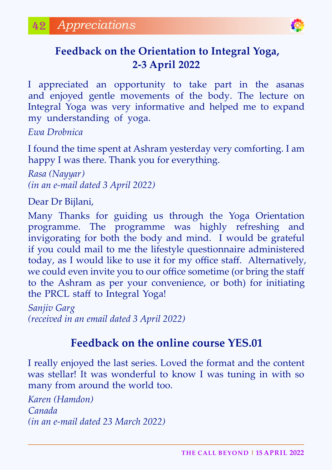

### **Feedback on the Orientation to Integral Yoga, 2-3 April 2022**

I appreciated an opportunity to take part in the asanas and enjoyed gentle movements of the body. The lecture on Integral Yoga was very informative and helped me to expand my understanding of yoga.

*Ewa Drobnica*

I found the time spent at Ashram yesterday very comforting. I am happy I was there. Thank you for everything.

*Rasa (Nayyar) (in an e-mail dated 3 April 2022)*

Dear Dr Bijlani,

Many Thanks for guiding us through the Yoga Orientation programme. The programme was highly refreshing and invigorating for both the body and mind. I would be grateful if you could mail to me the lifestyle questionnaire administered today, as I would like to use it for my office staff. Alternatively, we could even invite you to our office sometime (or bring the staff to the Ashram as per your convenience, or both) for initiating the PRCL staff to Integral Yoga!

*Sanjiv Garg (received in an email dated 3 April 2022)*

## **Feedback on the online course YES.01**

I really enjoyed the last series. Loved the format and the content was stellar! It was wonderful to know I was tuning in with so many from around the world too.

*Karen (Hamdon) Canada (in an e-mail dated 23 March 2022)*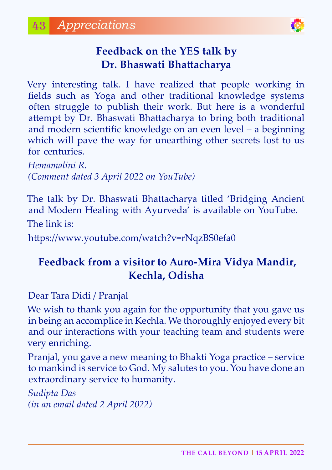

#### **Feedback on the YES talk by Dr. Bhaswati Bhattacharya**

Very interesting talk. I have realized that people working in fields such as Yoga and other traditional knowledge systems often struggle to publish their work. But here is a wonderful attempt by Dr. Bhaswati Bhattacharya to bring both traditional and modern scientific knowledge on an even level – a beginning which will pave the way for unearthing other secrets lost to us for centuries.

*Hemamalini R. (Comment dated 3 April 2022 on YouTube)*

The talk by Dr. Bhaswati Bhattacharya titled 'Bridging Ancient and Modern Healing with Ayurveda' is available on YouTube.

The link is:

https://www.youtube.com/watch?v=rNqzBS0efa0

### **Feedback from a visitor to Auro-Mira Vidya Mandir, Kechla, Odisha**

Dear Tara Didi / Pranjal

We wish to thank you again for the opportunity that you gave us in being an accomplice in Kechla. We thoroughly enjoyed every bit and our interactions with your teaching team and students were very enriching.

Pranjal, you gave a new meaning to Bhakti Yoga practice – service to mankind is service to God. My salutes to you. You have done an extraordinary service to humanity.

*Sudipta Das (in an email dated 2 April 2022)*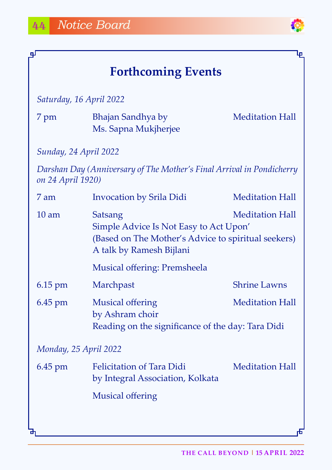

| 모<br><b>Forthcoming Events</b> |                                                                                                                                                                |                        |  |
|--------------------------------|----------------------------------------------------------------------------------------------------------------------------------------------------------------|------------------------|--|
|                                | Saturday, 16 April 2022                                                                                                                                        |                        |  |
| 7 pm                           | Bhajan Sandhya by<br>Ms. Sapna Mukjherjee                                                                                                                      | <b>Meditation Hall</b> |  |
| Sunday, 24 April 2022          |                                                                                                                                                                |                        |  |
| on 24 April 1920)              | Darshan Day (Anniversary of The Mother's Final Arrival in Pondicherry                                                                                          |                        |  |
| $7 \text{ am}$                 | <b>Invocation by Srila Didi</b>                                                                                                                                | <b>Meditation Hall</b> |  |
| 10 <sub>am</sub>               | <b>Meditation Hall</b><br>Satsang<br>Simple Advice Is Not Easy to Act Upon'<br>(Based on The Mother's Advice to spiritual seekers)<br>A talk by Ramesh Bijlani |                        |  |
|                                | Musical offering: Premsheela                                                                                                                                   |                        |  |
| $6.15 \text{ pm}$              | <b>Marchpast</b>                                                                                                                                               | <b>Shrine Lawns</b>    |  |
| 6.45 pm                        | <b>Musical offering</b><br>by Ashram choir<br>Reading on the significance of the day: Tara Didi                                                                | <b>Meditation Hall</b> |  |
| Monday, 25 April 2022          |                                                                                                                                                                |                        |  |
| $6.45$ pm                      | <b>Felicitation of Tara Didi</b><br>by Integral Association, Kolkata                                                                                           | <b>Meditation Hall</b> |  |
|                                | <b>Musical offering</b>                                                                                                                                        |                        |  |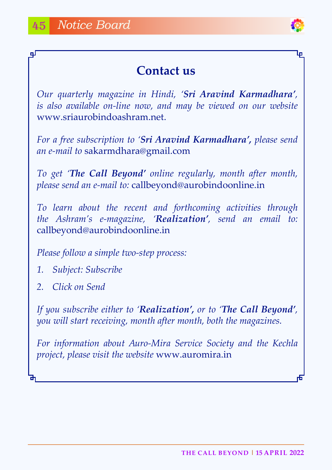цſ



## **Contact us**

*Our quarterly magazine in Hindi, 'Sri Aravind Karmadhara', is also available on-line now, and may be viewed on our website*  www.sriaurobindoashram.net.

*For a free subscription to 'Sri Aravind Karmadhara', please send an e-mail to* sakarmdhara@gmail.com

*To get 'The Call Beyond' online regularly, month after month, please send an e-mail to:* callbeyond@aurobindoonline.in

*To learn about the recent and forthcoming activities through the Ashram's e-magazine, 'Realization', send an email to:* callbeyond@aurobindoonline.in

*Please follow a simple two-step process:*

*1. Subject: Subscribe*

*2. Click on Send*

*If you subscribe either to 'Realization', or to 'The Call Beyond', you will start receiving, month after month, both the magazines.*

*For information about Auro-Mira Service Society and the Kechla project, please visit the website* www.auromira.in